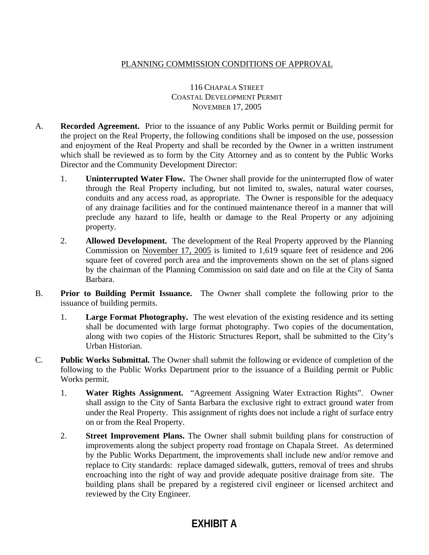## PLANNING COMMISSION CONDITIONS OF APPROVAL

## 116 CHAPALA STREET COASTAL DEVELOPMENT PERMIT NOVEMBER 17, 2005

- A. **Recorded Agreement.** Prior to the issuance of any Public Works permit or Building permit for the project on the Real Property, the following conditions shall be imposed on the use, possession and enjoyment of the Real Property and shall be recorded by the Owner in a written instrument which shall be reviewed as to form by the City Attorney and as to content by the Public Works Director and the Community Development Director:
	- 1. **Uninterrupted Water Flow.** The Owner shall provide for the uninterrupted flow of water through the Real Property including, but not limited to, swales, natural water courses, conduits and any access road, as appropriate. The Owner is responsible for the adequacy of any drainage facilities and for the continued maintenance thereof in a manner that will preclude any hazard to life, health or damage to the Real Property or any adjoining property.
	- 2. **Allowed Development.** The development of the Real Property approved by the Planning Commission on November 17, 2005 is limited to 1,619 square feet of residence and 206 square feet of covered porch area and the improvements shown on the set of plans signed by the chairman of the Planning Commission on said date and on file at the City of Santa Barbara.
- B. **Prior to Building Permit Issuance.** The Owner shall complete the following prior to the issuance of building permits.
	- 1. **Large Format Photography.** The west elevation of the existing residence and its setting shall be documented with large format photography. Two copies of the documentation, along with two copies of the Historic Structures Report, shall be submitted to the City's Urban Historian.
- C. **Public Works Submittal.** The Owner shall submit the following or evidence of completion of the following to the Public Works Department prior to the issuance of a Building permit or Public Works permit.
	- 1. **Water Rights Assignment.** "Agreement Assigning Water Extraction Rights". Owner shall assign to the City of Santa Barbara the exclusive right to extract ground water from under the Real Property. This assignment of rights does not include a right of surface entry on or from the Real Property.
	- 2. **Street Improvement Plans.** The Owner shall submit building plans for construction of improvements along the subject property road frontage on Chapala Street. As determined by the Public Works Department, the improvements shall include new and/or remove and replace to City standards: replace damaged sidewalk, gutters, removal of trees and shrubs encroaching into the right of way and provide adequate positive drainage from site. The building plans shall be prepared by a registered civil engineer or licensed architect and reviewed by the City Engineer.

## **EXHIBIT A**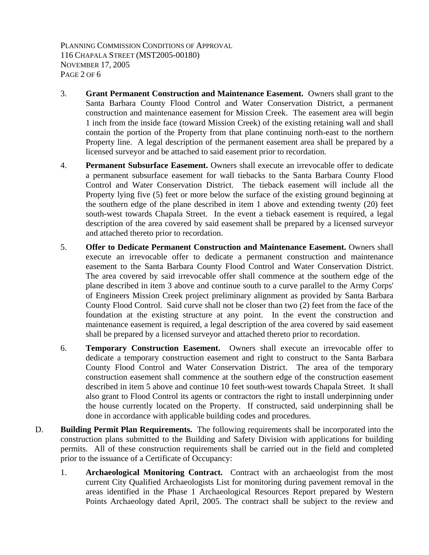PLANNING COMMISSION CONDITIONS OF APPROVAL 116 CHAPALA STREET (MST2005-00180) NOVEMBER 17, 2005 PAGE 2 OF 6

- 3. **Grant Permanent Construction and Maintenance Easement.** Owners shall grant to the Santa Barbara County Flood Control and Water Conservation District, a permanent construction and maintenance easement for Mission Creek. The easement area will begin 1 inch from the inside face (toward Mission Creek) of the existing retaining wall and shall contain the portion of the Property from that plane continuing north-east to the northern Property line. A legal description of the permanent easement area shall be prepared by a licensed surveyor and be attached to said easement prior to recordation.
- 4. **Permanent Subsurface Easement.** Owners shall execute an irrevocable offer to dedicate a permanent subsurface easement for wall tiebacks to the Santa Barbara County Flood Control and Water Conservation District. The tieback easement will include all the Property lying five (5) feet or more below the surface of the existing ground beginning at the southern edge of the plane described in item 1 above and extending twenty (20) feet south-west towards Chapala Street. In the event a tieback easement is required, a legal description of the area covered by said easement shall be prepared by a licensed surveyor and attached thereto prior to recordation.
- 5. **Offer to Dedicate Permanent Construction and Maintenance Easement.** Owners shall execute an irrevocable offer to dedicate a permanent construction and maintenance easement to the Santa Barbara County Flood Control and Water Conservation District. The area covered by said irrevocable offer shall commence at the southern edge of the plane described in item 3 above and continue south to a curve parallel to the Army Corps' of Engineers Mission Creek project preliminary alignment as provided by Santa Barbara County Flood Control. Said curve shall not be closer than two (2) feet from the face of the foundation at the existing structure at any point. In the event the construction and maintenance easement is required, a legal description of the area covered by said easement shall be prepared by a licensed surveyor and attached thereto prior to recordation.
- 6. **Temporary Construction Easement.** Owners shall execute an irrevocable offer to dedicate a temporary construction easement and right to construct to the Santa Barbara County Flood Control and Water Conservation District. The area of the temporary construction easement shall commence at the southern edge of the construction easement described in item 5 above and continue 10 feet south-west towards Chapala Street. It shall also grant to Flood Control its agents or contractors the right to install underpinning under the house currently located on the Property. If constructed, said underpinning shall be done in accordance with applicable building codes and procedures.
- D. **Building Permit Plan Requirements.** The following requirements shall be incorporated into the construction plans submitted to the Building and Safety Division with applications for building permits. All of these construction requirements shall be carried out in the field and completed prior to the issuance of a Certificate of Occupancy:
	- 1. **Archaeological Monitoring Contract.** Contract with an archaeologist from the most current City Qualified Archaeologists List for monitoring during pavement removal in the areas identified in the Phase 1 Archaeological Resources Report prepared by Western Points Archaeology dated April, 2005. The contract shall be subject to the review and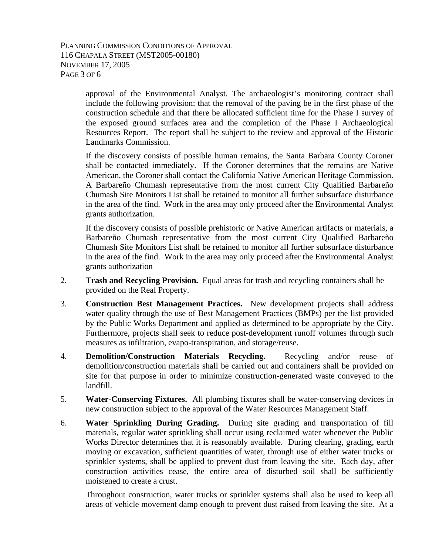PLANNING COMMISSION CONDITIONS OF APPROVAL 116 CHAPALA STREET (MST2005-00180) NOVEMBER 17, 2005 PAGE 3 OF 6

> approval of the Environmental Analyst. The archaeologist's monitoring contract shall include the following provision: that the removal of the paving be in the first phase of the construction schedule and that there be allocated sufficient time for the Phase I survey of the exposed ground surfaces area and the completion of the Phase I Archaeological Resources Report. The report shall be subject to the review and approval of the Historic Landmarks Commission.

> If the discovery consists of possible human remains, the Santa Barbara County Coroner shall be contacted immediately. If the Coroner determines that the remains are Native American, the Coroner shall contact the California Native American Heritage Commission. A Barbareño Chumash representative from the most current City Qualified Barbareño Chumash Site Monitors List shall be retained to monitor all further subsurface disturbance in the area of the find. Work in the area may only proceed after the Environmental Analyst grants authorization.

> If the discovery consists of possible prehistoric or Native American artifacts or materials, a Barbareño Chumash representative from the most current City Qualified Barbareño Chumash Site Monitors List shall be retained to monitor all further subsurface disturbance in the area of the find. Work in the area may only proceed after the Environmental Analyst grants authorization

- 2. **Trash and Recycling Provision.** Equal areas for trash and recycling containers shall be provided on the Real Property.
- 3. **Construction Best Management Practices.** New development projects shall address water quality through the use of Best Management Practices (BMPs) per the list provided by the Public Works Department and applied as determined to be appropriate by the City. Furthermore, projects shall seek to reduce post-development runoff volumes through such measures as infiltration, evapo-transpiration, and storage/reuse.
- 4. **Demolition/Construction Materials Recycling.** Recycling and/or reuse of demolition/construction materials shall be carried out and containers shall be provided on site for that purpose in order to minimize construction-generated waste conveyed to the landfill.
- 5. **Water-Conserving Fixtures.** All plumbing fixtures shall be water-conserving devices in new construction subject to the approval of the Water Resources Management Staff.
- 6. **Water Sprinkling During Grading.** During site grading and transportation of fill materials, regular water sprinkling shall occur using reclaimed water whenever the Public Works Director determines that it is reasonably available. During clearing, grading, earth moving or excavation, sufficient quantities of water, through use of either water trucks or sprinkler systems, shall be applied to prevent dust from leaving the site. Each day, after construction activities cease, the entire area of disturbed soil shall be sufficiently moistened to create a crust.

 Throughout construction, water trucks or sprinkler systems shall also be used to keep all areas of vehicle movement damp enough to prevent dust raised from leaving the site. At a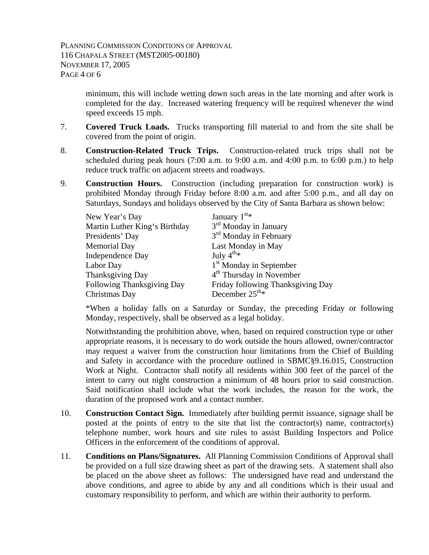minimum, this will include wetting down such areas in the late morning and after work is completed for the day. Increased watering frequency will be required whenever the wind speed exceeds 15 mph.

- 7. **Covered Truck Loads.** Trucks transporting fill material to and from the site shall be covered from the point of origin.
- 8. **Construction-Related Truck Trips.** Construction-related truck trips shall not be scheduled during peak hours (7:00 a.m. to 9:00 a.m. and 4:00 p.m. to 6:00 p.m.) to help reduce truck traffic on adjacent streets and roadways.
- 9. **Construction Hours.** Construction (including preparation for construction work) is prohibited Monday through Friday before 8:00 a.m. and after 5:00 p.m., and all day on Saturdays, Sundays and holidays observed by the City of Santa Barbara as shown below:

| New Year's Day                | January $1^{st*}$                    |
|-------------------------------|--------------------------------------|
| Martin Luther King's Birthday | 3 <sup>rd</sup> Monday in January    |
| Presidents' Day               | 3 <sup>rd</sup> Monday in February   |
| <b>Memorial Day</b>           | Last Monday in May                   |
| <b>Independence Day</b>       | July $4^{th*}$                       |
| Labor Day                     | 1 <sup>st</sup> Monday in September  |
| Thanksgiving Day              | 4 <sup>th</sup> Thursday in November |
| Following Thanksgiving Day    | Friday following Thanksgiving Day    |
| Christmas Day                 | December $25^{\text{th}_{*}}$        |

 \*When a holiday falls on a Saturday or Sunday, the preceding Friday or following Monday, respectively, shall be observed as a legal holiday.

 Notwithstanding the prohibition above, when, based on required construction type or other appropriate reasons, it is necessary to do work outside the hours allowed, owner/contractor may request a waiver from the construction hour limitations from the Chief of Building and Safety in accordance with the procedure outlined in SBMC§9.16.015, Construction Work at Night. Contractor shall notify all residents within 300 feet of the parcel of the intent to carry out night construction a minimum of 48 hours prior to said construction. Said notification shall include what the work includes, the reason for the work, the duration of the proposed work and a contact number.

- 10. **Construction Contact Sign.** Immediately after building permit issuance, signage shall be posted at the points of entry to the site that list the contractor(s) name, contractor(s) telephone number, work hours and site rules to assist Building Inspectors and Police Officers in the enforcement of the conditions of approval.
- 11. **Conditions on Plans/Signatures.** All Planning Commission Conditions of Approval shall be provided on a full size drawing sheet as part of the drawing sets. A statement shall also be placed on the above sheet as follows: The undersigned have read and understand the above conditions, and agree to abide by any and all conditions which is their usual and customary responsibility to perform, and which are within their authority to perform.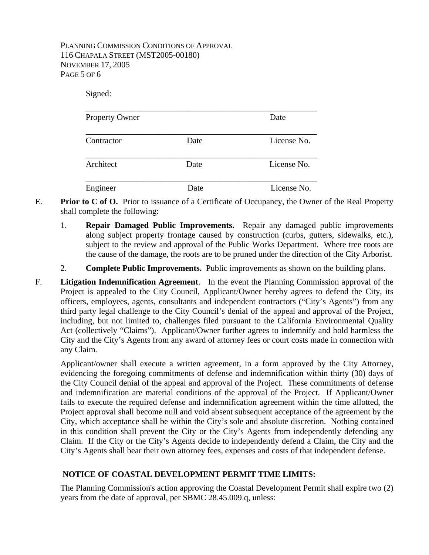PLANNING COMMISSION CONDITIONS OF APPROVAL 116 CHAPALA STREET (MST2005-00180) NOVEMBER 17, 2005 PAGE 5 OF 6

| Signed:               |      |             |  |
|-----------------------|------|-------------|--|
| <b>Property Owner</b> |      | Date        |  |
| Contractor            | Date | License No. |  |
| Architect             | Date | License No. |  |
| Engineer              | Date | License No. |  |

- E. **Prior to C of O.** Prior to issuance of a Certificate of Occupancy, the Owner of the Real Property shall complete the following:
	- 1. **Repair Damaged Public Improvements.** Repair any damaged public improvements along subject property frontage caused by construction (curbs, gutters, sidewalks, etc.), subject to the review and approval of the Public Works Department. Where tree roots are the cause of the damage, the roots are to be pruned under the direction of the City Arborist.
	- 2. **Complete Public Improvements.** Public improvements as shown on the building plans.
- F. **Litigation Indemnification Agreement**. In the event the Planning Commission approval of the Project is appealed to the City Council, Applicant/Owner hereby agrees to defend the City, its officers, employees, agents, consultants and independent contractors ("City's Agents") from any third party legal challenge to the City Council's denial of the appeal and approval of the Project, including, but not limited to, challenges filed pursuant to the California Environmental Quality Act (collectively "Claims"). Applicant/Owner further agrees to indemnify and hold harmless the City and the City's Agents from any award of attorney fees or court costs made in connection with any Claim.

 Applicant/owner shall execute a written agreement, in a form approved by the City Attorney, evidencing the foregoing commitments of defense and indemnification within thirty (30) days of the City Council denial of the appeal and approval of the Project. These commitments of defense and indemnification are material conditions of the approval of the Project. If Applicant/Owner fails to execute the required defense and indemnification agreement within the time allotted, the Project approval shall become null and void absent subsequent acceptance of the agreement by the City, which acceptance shall be within the City's sole and absolute discretion. Nothing contained in this condition shall prevent the City or the City's Agents from independently defending any Claim. If the City or the City's Agents decide to independently defend a Claim, the City and the City's Agents shall bear their own attorney fees, expenses and costs of that independent defense.

## **NOTICE OF COASTAL DEVELOPMENT PERMIT TIME LIMITS:**

The Planning Commission's action approving the Coastal Development Permit shall expire two (2) years from the date of approval, per SBMC 28.45.009.q, unless: